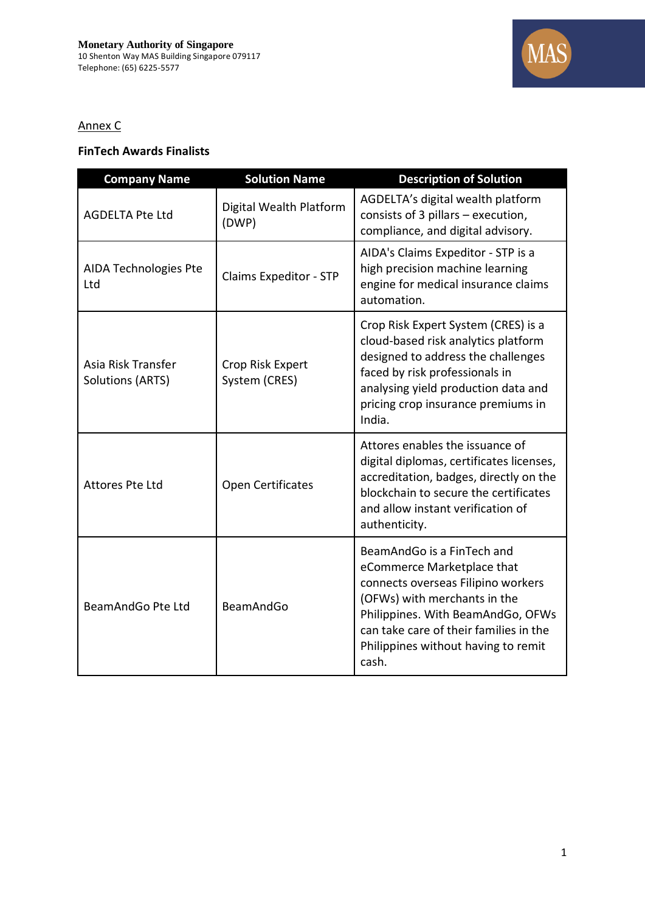

## Annex C

## **FinTech Awards Finalists**

| <b>Company Name</b>                           | <b>Solution Name</b>              | <b>Description of Solution</b>                                                                                                                                                                                                                                |
|-----------------------------------------------|-----------------------------------|---------------------------------------------------------------------------------------------------------------------------------------------------------------------------------------------------------------------------------------------------------------|
| <b>AGDELTA Pte Ltd</b>                        | Digital Wealth Platform<br>(DWP)  | AGDELTA's digital wealth platform<br>consists of 3 pillars - execution,<br>compliance, and digital advisory.                                                                                                                                                  |
| AIDA Technologies Pte<br>Ltd                  | Claims Expeditor - STP            | AIDA's Claims Expeditor - STP is a<br>high precision machine learning<br>engine for medical insurance claims<br>automation.                                                                                                                                   |
| Asia Risk Transfer<br><b>Solutions (ARTS)</b> | Crop Risk Expert<br>System (CRES) | Crop Risk Expert System (CRES) is a<br>cloud-based risk analytics platform<br>designed to address the challenges<br>faced by risk professionals in<br>analysing yield production data and<br>pricing crop insurance premiums in<br>India.                     |
| <b>Attores Pte Ltd</b>                        | Open Certificates                 | Attores enables the issuance of<br>digital diplomas, certificates licenses,<br>accreditation, badges, directly on the<br>blockchain to secure the certificates<br>and allow instant verification of<br>authenticity.                                          |
| BeamAndGo Pte Ltd                             | BeamAndGo                         | BeamAndGo is a FinTech and<br>eCommerce Marketplace that<br>connects overseas Filipino workers<br>(OFWs) with merchants in the<br>Philippines. With BeamAndGo, OFWs<br>can take care of their families in the<br>Philippines without having to remit<br>cash. |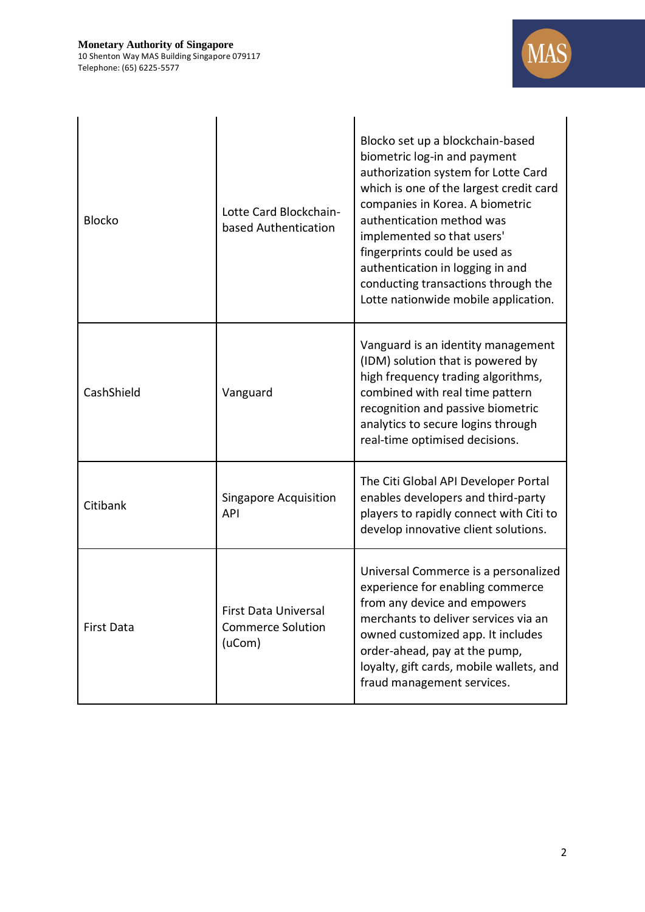

| <b>Blocko</b>     | Lotte Card Blockchain-<br>based Authentication                    | Blocko set up a blockchain-based<br>biometric log-in and payment<br>authorization system for Lotte Card<br>which is one of the largest credit card<br>companies in Korea. A biometric<br>authentication method was<br>implemented so that users'<br>fingerprints could be used as<br>authentication in logging in and<br>conducting transactions through the<br>Lotte nationwide mobile application. |
|-------------------|-------------------------------------------------------------------|------------------------------------------------------------------------------------------------------------------------------------------------------------------------------------------------------------------------------------------------------------------------------------------------------------------------------------------------------------------------------------------------------|
| CashShield        | Vanguard                                                          | Vanguard is an identity management<br>(IDM) solution that is powered by<br>high frequency trading algorithms,<br>combined with real time pattern<br>recognition and passive biometric<br>analytics to secure logins through<br>real-time optimised decisions.                                                                                                                                        |
| Citibank          | <b>Singapore Acquisition</b><br><b>API</b>                        | The Citi Global API Developer Portal<br>enables developers and third-party<br>players to rapidly connect with Citi to<br>develop innovative client solutions.                                                                                                                                                                                                                                        |
| <b>First Data</b> | <b>First Data Universal</b><br><b>Commerce Solution</b><br>(uCom) | Universal Commerce is a personalized<br>experience for enabling commerce<br>from any device and empowers<br>merchants to deliver services via an<br>owned customized app. It includes<br>order-ahead, pay at the pump,<br>loyalty, gift cards, mobile wallets, and<br>fraud management services.                                                                                                     |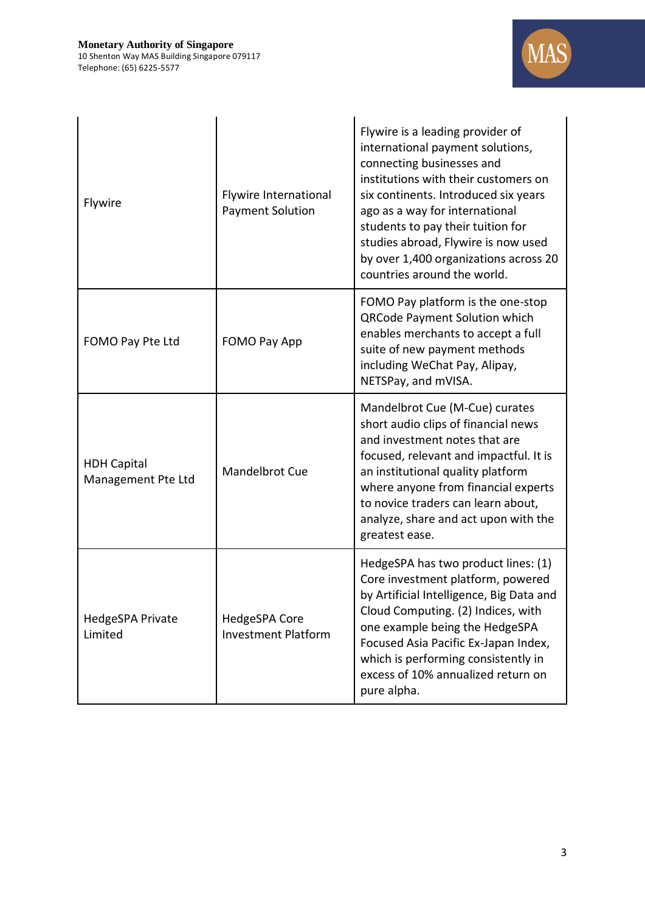

| Flywire                                  | Flywire International<br><b>Payment Solution</b> | Flywire is a leading provider of<br>international payment solutions,<br>connecting businesses and<br>institutions with their customers on<br>six continents. Introduced six years<br>ago as a way for international<br>students to pay their tuition for<br>studies abroad, Flywire is now used<br>by over 1,400 organizations across 20<br>countries around the world. |
|------------------------------------------|--------------------------------------------------|-------------------------------------------------------------------------------------------------------------------------------------------------------------------------------------------------------------------------------------------------------------------------------------------------------------------------------------------------------------------------|
| FOMO Pay Pte Ltd                         | FOMO Pay App                                     | FOMO Pay platform is the one-stop<br><b>QRCode Payment Solution which</b><br>enables merchants to accept a full<br>suite of new payment methods<br>including WeChat Pay, Alipay,<br>NETSPay, and mVISA.                                                                                                                                                                 |
| <b>HDH Capital</b><br>Management Pte Ltd | Mandelbrot Cue                                   | Mandelbrot Cue (M-Cue) curates<br>short audio clips of financial news<br>and investment notes that are<br>focused, relevant and impactful. It is<br>an institutional quality platform<br>where anyone from financial experts<br>to novice traders can learn about,<br>analyze, share and act upon with the<br>greatest ease.                                            |
| HedgeSPA Private<br>Limited              | HedgeSPA Core<br><b>Investment Platform</b>      | HedgeSPA has two product lines: (1)<br>Core investment platform, powered<br>by Artificial Intelligence, Big Data and<br>Cloud Computing. (2) Indices, with<br>one example being the HedgeSPA<br>Focused Asia Pacific Ex-Japan Index,<br>which is performing consistently in<br>excess of 10% annualized return on<br>pure alpha.                                        |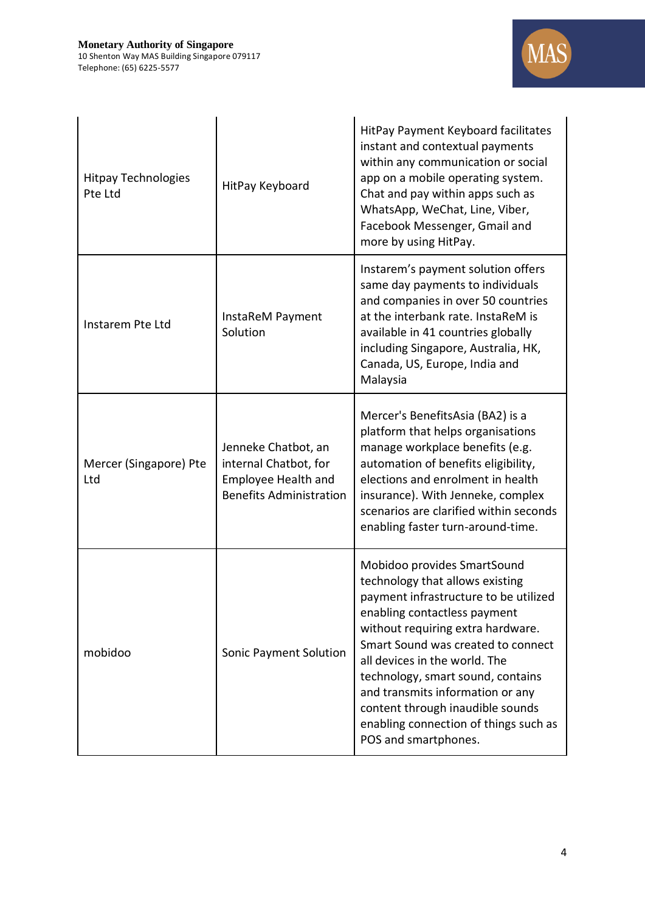

| <b>Hitpay Technologies</b><br>Pte Ltd | HitPay Keyboard                                                                                              | HitPay Payment Keyboard facilitates<br>instant and contextual payments<br>within any communication or social<br>app on a mobile operating system.<br>Chat and pay within apps such as<br>WhatsApp, WeChat, Line, Viber,<br>Facebook Messenger, Gmail and<br>more by using HitPay.                                                                                                                                                 |
|---------------------------------------|--------------------------------------------------------------------------------------------------------------|-----------------------------------------------------------------------------------------------------------------------------------------------------------------------------------------------------------------------------------------------------------------------------------------------------------------------------------------------------------------------------------------------------------------------------------|
| Instarem Pte Ltd                      | InstaReM Payment<br>Solution                                                                                 | Instarem's payment solution offers<br>same day payments to individuals<br>and companies in over 50 countries<br>at the interbank rate. InstaReM is<br>available in 41 countries globally<br>including Singapore, Australia, HK,<br>Canada, US, Europe, India and<br>Malaysia                                                                                                                                                      |
| Mercer (Singapore) Pte<br>Ltd         | Jenneke Chatbot, an<br>internal Chatbot, for<br><b>Employee Health and</b><br><b>Benefits Administration</b> | Mercer's BenefitsAsia (BA2) is a<br>platform that helps organisations<br>manage workplace benefits (e.g.<br>automation of benefits eligibility,<br>elections and enrolment in health<br>insurance). With Jenneke, complex<br>scenarios are clarified within seconds<br>enabling faster turn-around-time.                                                                                                                          |
| mobidoo                               | Sonic Payment Solution                                                                                       | Mobidoo provides SmartSound<br>technology that allows existing<br>payment infrastructure to be utilized<br>enabling contactless payment<br>without requiring extra hardware.<br>Smart Sound was created to connect<br>all devices in the world. The<br>technology, smart sound, contains<br>and transmits information or any<br>content through inaudible sounds<br>enabling connection of things such as<br>POS and smartphones. |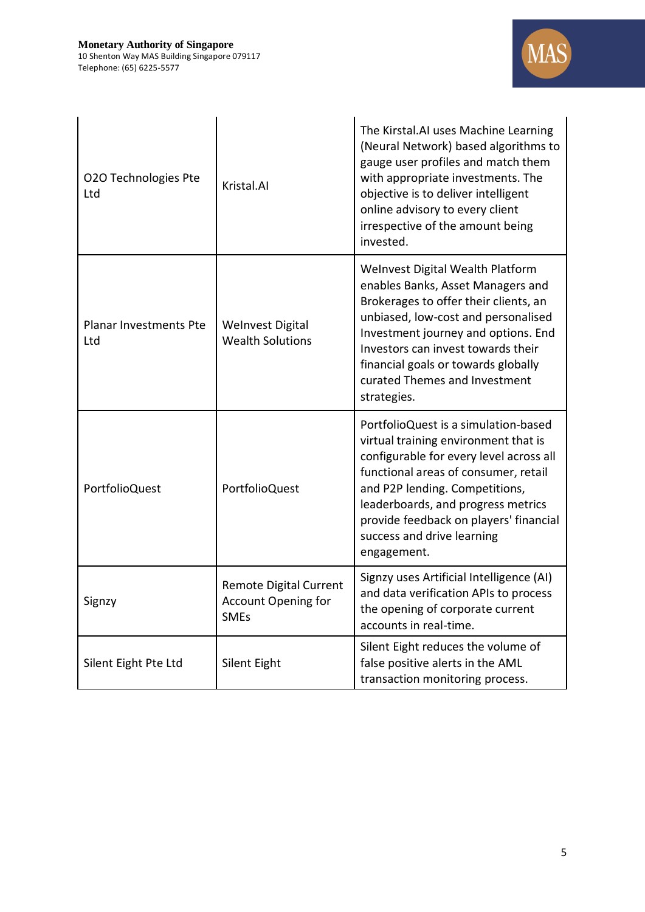

| O2O Technologies Pte<br>Ltd          | Kristal.AI                                                                 | The Kirstal.AI uses Machine Learning<br>(Neural Network) based algorithms to<br>gauge user profiles and match them<br>with appropriate investments. The<br>objective is to deliver intelligent<br>online advisory to every client<br>irrespective of the amount being<br>invested.                                             |
|--------------------------------------|----------------------------------------------------------------------------|--------------------------------------------------------------------------------------------------------------------------------------------------------------------------------------------------------------------------------------------------------------------------------------------------------------------------------|
| <b>Planar Investments Pte</b><br>Ltd | <b>Welnvest Digital</b><br><b>Wealth Solutions</b>                         | Welnvest Digital Wealth Platform<br>enables Banks, Asset Managers and<br>Brokerages to offer their clients, an<br>unbiased, low-cost and personalised<br>Investment journey and options. End<br>Investors can invest towards their<br>financial goals or towards globally<br>curated Themes and Investment<br>strategies.      |
| PortfolioQuest                       | PortfolioQuest                                                             | PortfolioQuest is a simulation-based<br>virtual training environment that is<br>configurable for every level across all<br>functional areas of consumer, retail<br>and P2P lending. Competitions,<br>leaderboards, and progress metrics<br>provide feedback on players' financial<br>success and drive learning<br>engagement. |
| Signzy                               | <b>Remote Digital Current</b><br><b>Account Opening for</b><br><b>SMEs</b> | Signzy uses Artificial Intelligence (AI)<br>and data verification APIs to process<br>the opening of corporate current<br>accounts in real-time.                                                                                                                                                                                |
| Silent Eight Pte Ltd                 | Silent Eight                                                               | Silent Eight reduces the volume of<br>false positive alerts in the AML<br>transaction monitoring process.                                                                                                                                                                                                                      |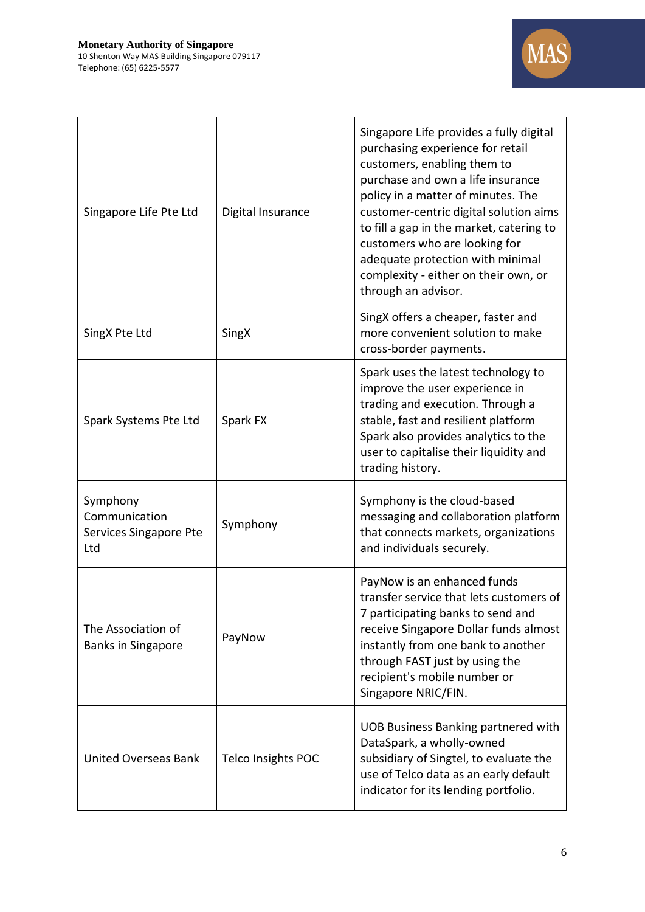

| Singapore Life Pte Ltd                                     | Digital Insurance  | Singapore Life provides a fully digital<br>purchasing experience for retail<br>customers, enabling them to<br>purchase and own a life insurance<br>policy in a matter of minutes. The<br>customer-centric digital solution aims<br>to fill a gap in the market, catering to<br>customers who are looking for<br>adequate protection with minimal<br>complexity - either on their own, or<br>through an advisor. |
|------------------------------------------------------------|--------------------|-----------------------------------------------------------------------------------------------------------------------------------------------------------------------------------------------------------------------------------------------------------------------------------------------------------------------------------------------------------------------------------------------------------------|
| SingX Pte Ltd                                              | SingX              | SingX offers a cheaper, faster and<br>more convenient solution to make<br>cross-border payments.                                                                                                                                                                                                                                                                                                                |
| Spark Systems Pte Ltd                                      | Spark FX           | Spark uses the latest technology to<br>improve the user experience in<br>trading and execution. Through a<br>stable, fast and resilient platform<br>Spark also provides analytics to the<br>user to capitalise their liquidity and<br>trading history.                                                                                                                                                          |
| Symphony<br>Communication<br>Services Singapore Pte<br>Ltd | Symphony           | Symphony is the cloud-based<br>messaging and collaboration platform<br>that connects markets, organizations<br>and individuals securely.                                                                                                                                                                                                                                                                        |
| The Association of<br><b>Banks in Singapore</b>            | PayNow             | PayNow is an enhanced funds<br>transfer service that lets customers of<br>7 participating banks to send and<br>receive Singapore Dollar funds almost<br>instantly from one bank to another<br>through FAST just by using the<br>recipient's mobile number or<br>Singapore NRIC/FIN.                                                                                                                             |
| <b>United Overseas Bank</b>                                | Telco Insights POC | <b>UOB Business Banking partnered with</b><br>DataSpark, a wholly-owned<br>subsidiary of Singtel, to evaluate the<br>use of Telco data as an early default<br>indicator for its lending portfolio.                                                                                                                                                                                                              |